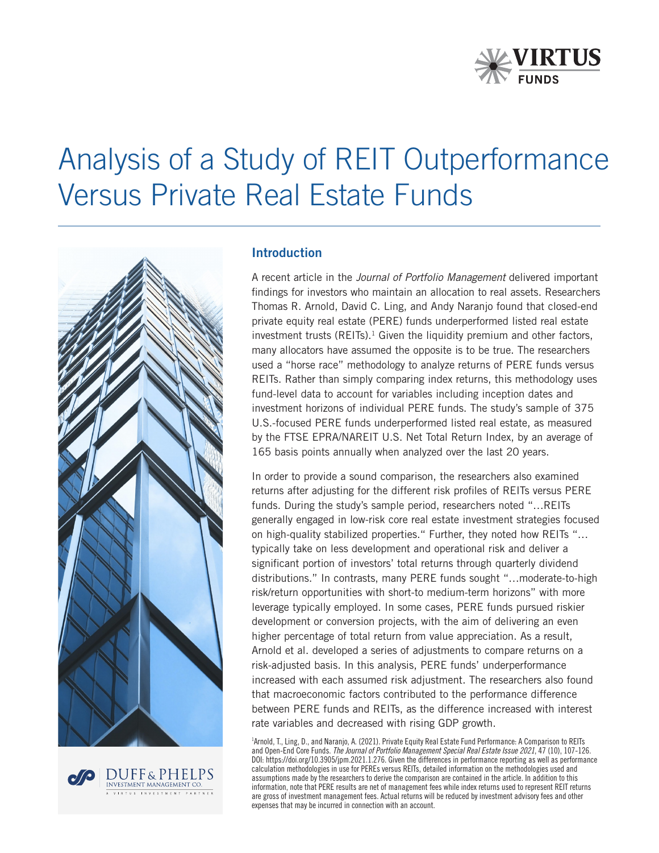

# Analysis of a Study of REIT Outperformance Versus Private Real Estate Funds



**INVESTMENT MANAGEMENT CO.** 

#### Introduction

A recent article in the *Journal of Portfolio Management* delivered important findings for investors who maintain an allocation to real assets. Researchers Thomas R. Arnold, David C. Ling, and Andy Naranjo found that closed-end private equity real estate (PERE) funds underperformed listed real estate investment trusts  $(REITs)<sup>1</sup>$  Given the liquidity premium and other factors, many allocators have assumed the opposite is to be true. The researchers used a "horse race" methodology to analyze returns of PERE funds versus REITs. Rather than simply comparing index returns, this methodology uses fund-level data to account for variables including inception dates and investment horizons of individual PERE funds. The study's sample of 375 U.S.-focused PERE funds underperformed listed real estate, as measured by the FTSE EPRA/NAREIT U.S. Net Total Return Index, by an average of 165 basis points annually when analyzed over the last 20 years.

In order to provide a sound comparison, the researchers also examined returns after adjusting for the different risk profiles of REITs versus PERE funds. During the study's sample period, researchers noted "…REITs generally engaged in low-risk core real estate investment strategies focused on high-quality stabilized properties." Further, they noted how REITs "… typically take on less development and operational risk and deliver a significant portion of investors' total returns through quarterly dividend distributions." In contrasts, many PERE funds sought "…moderate-to-high risk/return opportunities with short-to medium-term horizons" with more leverage typically employed. In some cases, PERE funds pursued riskier development or conversion projects, with the aim of delivering an even higher percentage of total return from value appreciation. As a result, Arnold et al. developed a series of adjustments to compare returns on a risk-adjusted basis. In this analysis, PERE funds' underperformance increased with each assumed risk adjustment. The researchers also found that macroeconomic factors contributed to the performance difference between PERE funds and REITs, as the difference increased with interest rate variables and decreased with rising GDP growth.

1 Arnold, T., Ling, D., and Naranjo, A. (2021). Private Equity Real Estate Fund Performance: A Comparison to REITs and Open-End Core Funds. *The Journal of Portfolio Management Special Real Estate Issue 2021*, 47 (10), 107-126. DOI: https://doi.org/10.3905/jpm.2021.1.276. Given the differences in performance reporting as well as performance calculation methodologies in use for PEREs versus REITs, detailed information on the methodologies used and assumptions made by the researchers to derive the comparison are contained in the article. In addition to this information, note that PERE results are net of management fees while index returns used to represent REIT returns are gross of investment management fees. Actual returns will be reduced by investment advisory fees and other expenses that may be incurred in connection with an account.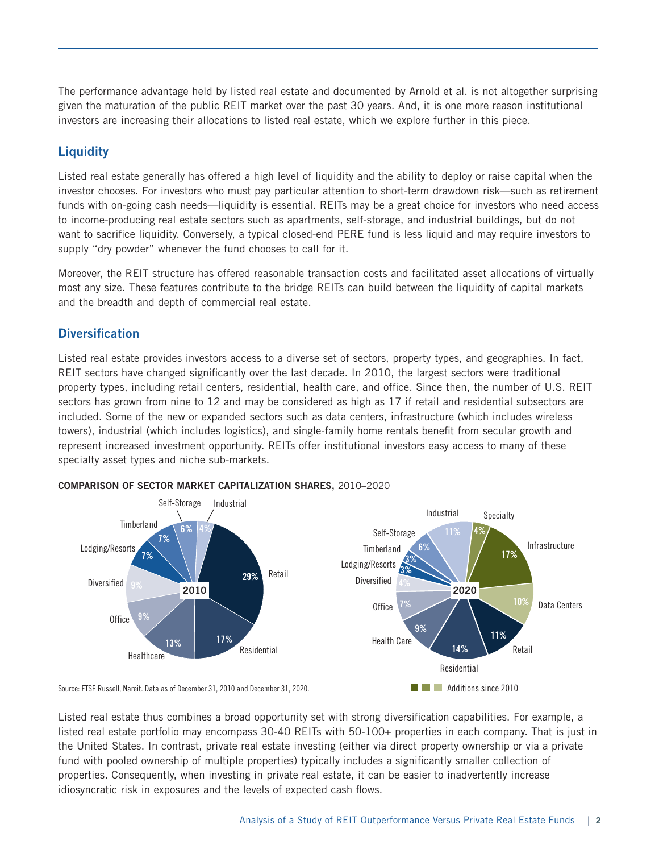The performance advantage held by listed real estate and documented by Arnold et al. is not altogether surprising given the maturation of the public REIT market over the past 30 years. And, it is one more reason institutional investors are increasing their allocations to listed real estate, which we explore further in this piece.

## **Liquidity**

Listed real estate generally has offered a high level of liquidity and the ability to deploy or raise capital when the investor chooses. For investors who must pay particular attention to short-term drawdown risk—such as retirement funds with on-going cash needs—liquidity is essential. REITs may be a great choice for investors who need access to income-producing real estate sectors such as apartments, self-storage, and industrial buildings, but do not want to sacrifice liquidity. Conversely, a typical closed-end PERE fund is less liquid and may require investors to supply "dry powder" whenever the fund chooses to call for it.

Moreover, the REIT structure has offered reasonable transaction costs and facilitated asset allocations of virtually most any size. These features contribute to the bridge REITs can build between the liquidity of capital markets and the breadth and depth of commercial real estate.

## Diversification

Listed real estate provides investors access to a diverse set of sectors, property types, and geographies. In fact, REIT sectors have changed significantly over the last decade. In 2010, the largest sectors were traditional property types, including retail centers, residential, health care, and office. Since then, the number of U.S. REIT sectors has grown from nine to 12 and may be considered as high as 17 if retail and residential subsectors are included. Some of the new or expanded sectors such as data centers, infrastructure (which includes wireless towers), industrial (which includes logistics), and single-family home rentals benefit from secular growth and represent increased investment opportunity. REITs offer institutional investors easy access to many of these specialty asset types and niche sub-markets.



#### COMPARISON OF SECTOR MARKET CAPITALIZATION SHARES, 2010–2020

Source: FTSE Russell, Nareit. Data as of December 31, 2010 and December 31, 2020.

Listed real estate thus combines a broad opportunity set with strong diversification capabilities. For example, a listed real estate portfolio may encompass 30-40 REITs with 50-100+ properties in each company. That is just in the United States. In contrast, private real estate investing (either via direct property ownership or via a private fund with pooled ownership of multiple properties) typically includes a significantly smaller collection of properties. Consequently, when investing in private real estate, it can be easier to inadvertently increase idiosyncratic risk in exposures and the levels of expected cash flows.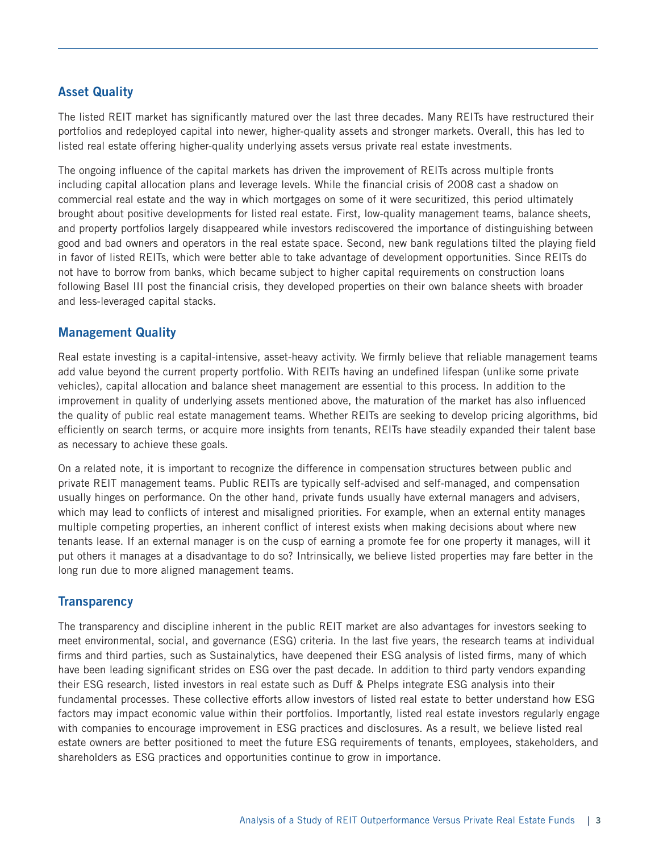## Asset Quality

The listed REIT market has significantly matured over the last three decades. Many REITs have restructured their portfolios and redeployed capital into newer, higher-quality assets and stronger markets. Overall, this has led to listed real estate offering higher-quality underlying assets versus private real estate investments.

The ongoing influence of the capital markets has driven the improvement of REITs across multiple fronts including capital allocation plans and leverage levels. While the financial crisis of 2008 cast a shadow on commercial real estate and the way in which mortgages on some of it were securitized, this period ultimately brought about positive developments for listed real estate. First, low-quality management teams, balance sheets, and property portfolios largely disappeared while investors rediscovered the importance of distinguishing between good and bad owners and operators in the real estate space. Second, new bank regulations tilted the playing field in favor of listed REITs, which were better able to take advantage of development opportunities. Since REITs do not have to borrow from banks, which became subject to higher capital requirements on construction loans following Basel III post the financial crisis, they developed properties on their own balance sheets with broader and less-leveraged capital stacks.

## Management Quality

Real estate investing is a capital-intensive, asset-heavy activity. We firmly believe that reliable management teams add value beyond the current property portfolio. With REITs having an undefined lifespan (unlike some private vehicles), capital allocation and balance sheet management are essential to this process. In addition to the improvement in quality of underlying assets mentioned above, the maturation of the market has also influenced the quality of public real estate management teams. Whether REITs are seeking to develop pricing algorithms, bid efficiently on search terms, or acquire more insights from tenants, REITs have steadily expanded their talent base as necessary to achieve these goals.

On a related note, it is important to recognize the difference in compensation structures between public and private REIT management teams. Public REITs are typically self-advised and self-managed, and compensation usually hinges on performance. On the other hand, private funds usually have external managers and advisers, which may lead to conflicts of interest and misaligned priorities. For example, when an external entity manages multiple competing properties, an inherent conflict of interest exists when making decisions about where new tenants lease. If an external manager is on the cusp of earning a promote fee for one property it manages, will it put others it manages at a disadvantage to do so? Intrinsically, we believe listed properties may fare better in the long run due to more aligned management teams.

### **Transparency**

The transparency and discipline inherent in the public REIT market are also advantages for investors seeking to meet environmental, social, and governance (ESG) criteria. In the last five years, the research teams at individual firms and third parties, such as Sustainalytics, have deepened their ESG analysis of listed firms, many of which have been leading significant strides on ESG over the past decade. In addition to third party vendors expanding their ESG research, listed investors in real estate such as Duff & Phelps integrate ESG analysis into their fundamental processes. These collective efforts allow investors of listed real estate to better understand how ESG factors may impact economic value within their portfolios. Importantly, listed real estate investors regularly engage with companies to encourage improvement in ESG practices and disclosures. As a result, we believe listed real estate owners are better positioned to meet the future ESG requirements of tenants, employees, stakeholders, and shareholders as ESG practices and opportunities continue to grow in importance.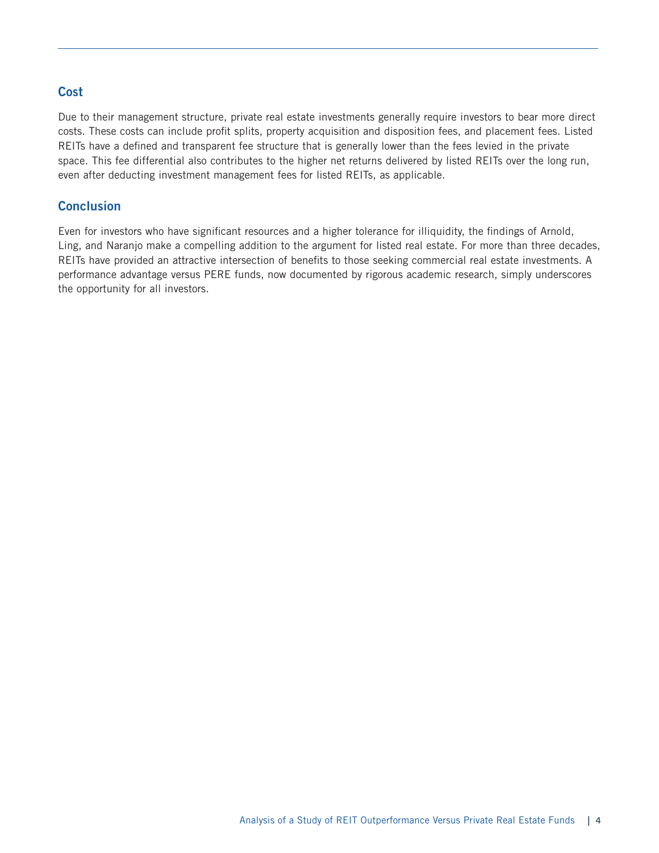## Cost

Due to their management structure, private real estate investments generally require investors to bear more direct costs. These costs can include profit splits, property acquisition and disposition fees, and placement fees. Listed REITs have a defined and transparent fee structure that is generally lower than the fees levied in the private space. This fee differential also contributes to the higher net returns delivered by listed REITs over the long run, even after deducting investment management fees for listed REITs, as applicable.

## **Conclusion**

Even for investors who have significant resources and a higher tolerance for illiquidity, the findings of Arnold, Ling, and Naranjo make a compelling addition to the argument for listed real estate. For more than three decades, REITs have provided an attractive intersection of benefits to those seeking commercial real estate investments. A performance advantage versus PERE funds, now documented by rigorous academic research, simply underscores the opportunity for all investors.